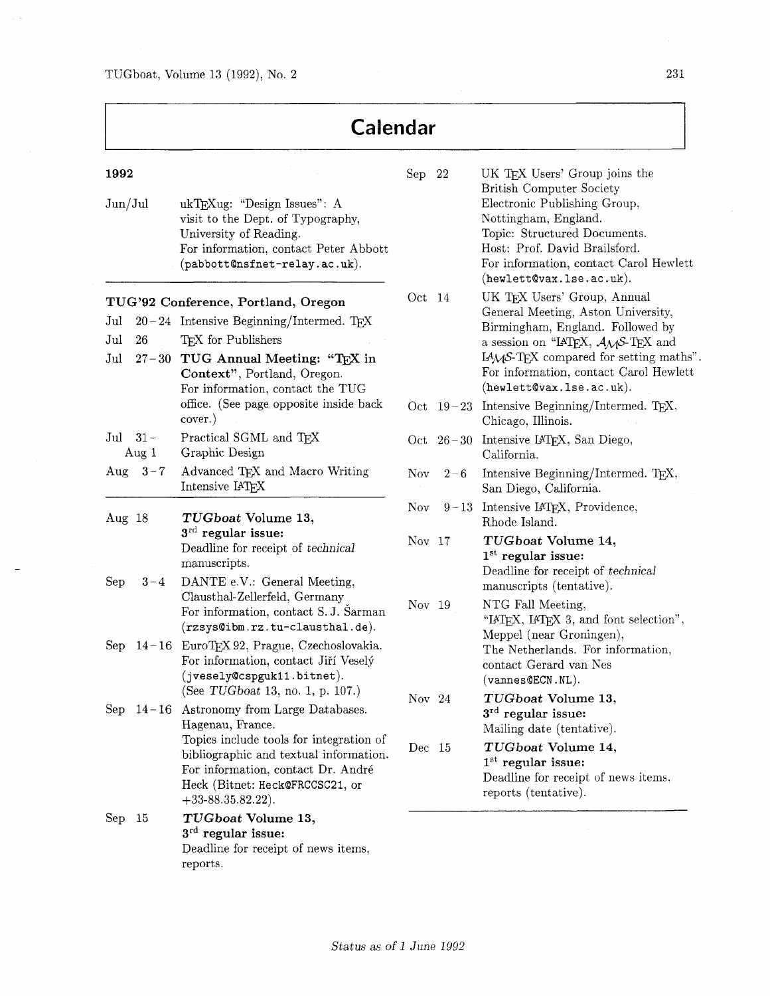| Calendar                                                                       |                                                                                                                                                                                                                                    |          |         |                                                                                                                                                                                                                                                                                 |  |  |
|--------------------------------------------------------------------------------|------------------------------------------------------------------------------------------------------------------------------------------------------------------------------------------------------------------------------------|----------|---------|---------------------------------------------------------------------------------------------------------------------------------------------------------------------------------------------------------------------------------------------------------------------------------|--|--|
| 1992<br>Jun/Jul                                                                | ukTEXug: "Design Issues": A<br>visit to the Dept. of Typography,<br>University of Reading.<br>For information, contact Peter Abbott<br>(pabbott@nsfnet-relay.ac.uk).                                                               | Sep 22   |         | UK TEX Users' Group joins the<br><b>British Computer Society</b><br>Electronic Publishing Group,<br>Nottingham, England.<br>Topic: Structured Documents.<br>Host: Prof. David Brailsford.<br>For information, contact Carol Hewlett<br>$(hewlet t$ @vax.lse.ac.uk).             |  |  |
| $_{\mathrm{Jul}}$<br>$_{\mathrm{Jul}}$<br>26<br>$_{\mathrm{Jul}}$<br>$27 - 30$ | TUG'92 Conference, Portland, Oregon<br>$20-24$ Intensive Beginning/Intermed. TEX<br>TFX for Publishers<br>TUG Annual Meeting: "TEX in<br>Context", Portland, Oregon.<br>For information, contact the TUG                           | Oct 14   |         | UK TEX Users' Group, Annual<br>General Meeting, Aston University,<br>Birmingham, England. Followed by<br>a session on "IATEX, $A_{\mathcal{M}}S$ -TEX and<br>$IAM-S-TEX$ compared for setting maths".<br>For information, contact Carol Hewlett<br>$(hewlet t$ @vax.lse.ac.uk). |  |  |
|                                                                                | office. (See page opposite inside back<br>cover.)                                                                                                                                                                                  |          |         | Oct $19-23$ Intensive Beginning/Intermed. TEX,<br>Chicago, Illinois.                                                                                                                                                                                                            |  |  |
| Jul $31-$<br>Aug 1                                                             | Practical SGML and TEX<br>Graphic Design                                                                                                                                                                                           |          |         | Oct 26-30 Intensive IATEX, San Diego,<br>California.                                                                                                                                                                                                                            |  |  |
| Aug<br>$3 - 7$                                                                 | Advanced TEX and Macro Writing<br>Intensive IATEX                                                                                                                                                                                  | Nov.     | $2 - 6$ | Intensive Beginning/Intermed. T <sub>E</sub> X,<br>San Diego, California.                                                                                                                                                                                                       |  |  |
| Aug 18                                                                         | TUGboat Volume 13,                                                                                                                                                                                                                 | Nov      |         | $9-13$ Intensive IAT <sub>E</sub> X, Providence,<br>Rhode Island.                                                                                                                                                                                                               |  |  |
| Sep<br>$3 - 4$                                                                 | $3^{\text{rd}}$ regular issue:<br>Deadline for receipt of technical<br>manuscripts.<br>DANTE e.V.: General Meeting,<br>Clausthal-Zellerfeld, Germany                                                                               | Nov $17$ |         | TUGboat Volume 14,<br>$1st$ regular issue:<br>Deadline for receipt of technical<br>manuscripts (tentative).                                                                                                                                                                     |  |  |
|                                                                                | For information, contact S.J. Sarman<br>(rzsys@ibm.rz.tu-clausthal.de).<br>Sep 14-16 EuroTEX 92, Prague, Czechoslovakia.<br>For information, contact Jiří Veselý<br>(jvesely@cspguk11.bitnet).<br>(See TUGboat 13, no. 1, p. 107.) | Nov 19   |         | NTG Fall Meeting,<br>"IATEX, IATEX 3, and font selection",<br>Meppel (near Groningen),<br>The Netherlands. For information,<br>contact Gerard van Nes<br>$(\mathtt{vannes}\mathtt{QECN}.\mathtt{NL}).$                                                                          |  |  |
|                                                                                | Sep 14-16 Astronomy from Large Databases.<br>Hagenau, France.                                                                                                                                                                      | Nov 24   |         | TUGboat Volume 13,<br>$3rd$ regular issue:<br>Mailing date (tentative).                                                                                                                                                                                                         |  |  |
|                                                                                | Topics include tools for integration of<br>bibliographic and textual information.<br>For information, contact Dr. André<br>Heck (Bitnet: Heck@FRCCSC21, or<br>$+33 - 88.35.82.22$ .                                                | Dec 15   |         | TUGboat Volume 14,<br>$1st$ regular issue:<br>Deadline for receipt of news items,<br>reports (tentative).                                                                                                                                                                       |  |  |
| $\rm Sep$<br>- 15                                                              | TUGboat Volume 13,<br>$3rd$ regular issue:<br>Deadline for receipt of news items,<br>reports.                                                                                                                                      |          |         |                                                                                                                                                                                                                                                                                 |  |  |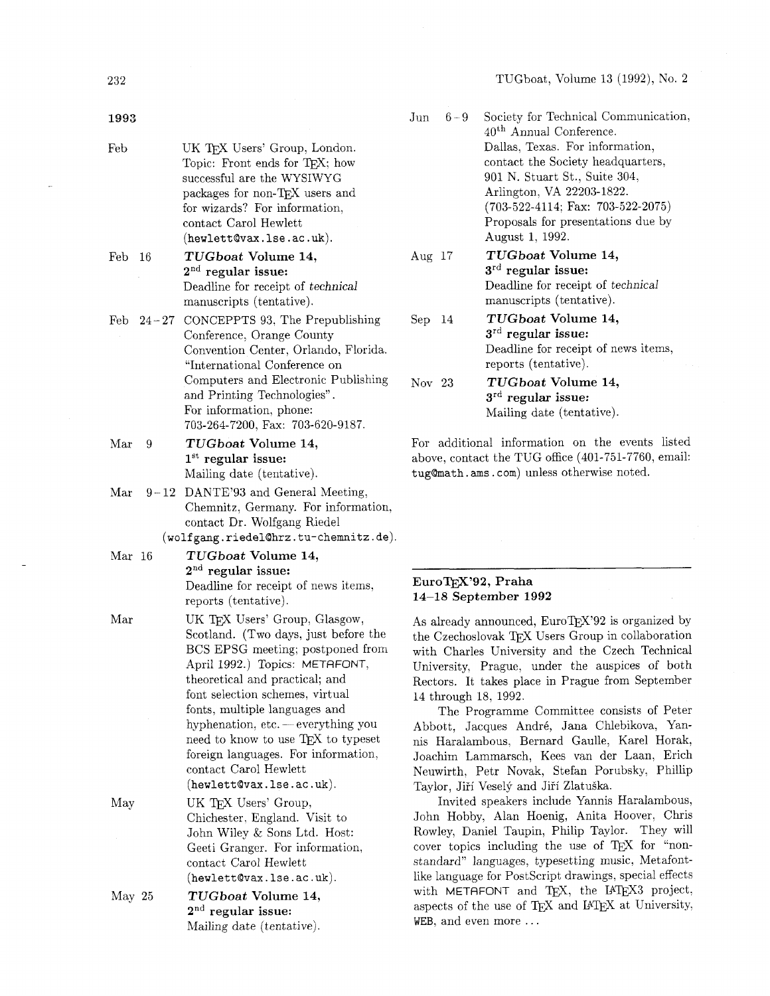Society for Technical Communication,

| 1993                 |             |                                                                                                                                                                                                                                                                                                                               |                                                                  |  |
|----------------------|-------------|-------------------------------------------------------------------------------------------------------------------------------------------------------------------------------------------------------------------------------------------------------------------------------------------------------------------------------|------------------------------------------------------------------|--|
| Feb                  |             | UK TEX Users' Group, London.<br>Topic: Front ends for TEX; how<br>successful are the WYSIWYG<br>packages for non-TEX users and<br>for wizards? For information,<br>contact Carol Hewlett<br>(hewlett@vax.lse.ac.uk).                                                                                                          |                                                                  |  |
| Feb                  | 16          | TUGboat Volume 14,<br>$2nd$ regular issue:<br>Deadline for receipt of technical<br>manuscripts (tentative).                                                                                                                                                                                                                   | Aug                                                              |  |
|                      | Feb $24-27$ | CONCEPPTS 93, The Prepublishing<br>Conference, Orange County<br>Convention Center, Orlando, Florida.<br>"International Conference on<br>Computers and Electronic Publishing<br>and Printing Technologies".                                                                                                                    | Sep<br>Nov                                                       |  |
|                      |             | For information, phone:<br>703-264-7200, Fax: 703-620-9187.                                                                                                                                                                                                                                                                   |                                                                  |  |
| Mar                  | 9           | TUGboat Volume 14,<br>$1st$ regular issue:                                                                                                                                                                                                                                                                                    | For<br>abo                                                       |  |
| $\operatorname{Mar}$ | $9 - 12$    | Mailing date (tentative).<br>DANTE'93 and General Meeting,<br>Chemnitz, Germany. For information,<br>contact Dr. Wolfgang Riedel                                                                                                                                                                                              | tug(                                                             |  |
| Mar 16               |             | $(\texttt{wolfgang.riedel@hrz.tu-chemnitz.de}).$<br>TUGboat Volume 14,                                                                                                                                                                                                                                                        |                                                                  |  |
|                      |             | $2nd$ regular issue:<br>Deadline for receipt of news items,<br>reports (tentative).                                                                                                                                                                                                                                           | Eur<br>14–                                                       |  |
| $\operatorname{Mar}$ |             | UK TFX Users' Group, Glasgow,<br>Scotland. (Two days, just before the<br>BCS EPSG meeting; postponed from<br>April 1992.) Topics: METAFONT,<br>theoretical and practical; and<br>font selection schemes, virtual<br>fonts, multiple languages and<br>hyphenation, etc. — everything you<br>need to know to use TEX to typeset | As a<br>the<br>with<br>Uni<br>Rec<br>14 t<br>Abl<br>$_{\rm mis}$ |  |
|                      |             | foreign languages. For information,<br>contact Carol Hewlett<br>(hewlett@vax.lse.ac.uk).                                                                                                                                                                                                                                      | Joa<br>Neu<br>Tay                                                |  |
| May                  |             | UK TEX Users' Group,<br>Chichester, England. Visit to<br>John Wiley & Sons Ltd. Host:<br>Geeti Granger. For information,<br>contact Carol Hewlett<br>$(hewlet t$ @vax.lse.ac.uk).                                                                                                                                             | $_{\mathrm{Joh}}$<br>Roy<br><b>COV</b><br>$_{\rm star}$<br>like  |  |

May 25 **TUGboat Volume 14, 2nd regular issue:**  Mailing date (tentative).

|        | 40 <sup>th</sup> Annual Conference.          |
|--------|----------------------------------------------|
|        | Dallas, Texas. For information,              |
|        | contact the Society headquarters,            |
|        | 901 N. Stuart St., Suite 304,                |
|        | Arlington, VA 22203-1822.                    |
|        | $(703-522-4114; \text{ Fax: } 703-522-2075)$ |
|        | Proposals for presentations due by           |
|        | August 1, 1992.                              |
| Aug 17 | TUGboat Volume 14,                           |
|        | $3^{\text{rd}}$ regular issue:               |
|        | Deadline for receipt of <i>technical</i>     |
|        | manuscripts (tentative).                     |
| Sep 14 | TUGboat Volume 14,                           |
|        | $3rd$ regular issue:                         |
|        | Deadline for receipt of news items,          |
|        | reports (tentative).                         |
| Nov 23 | TUGboat Volume 14,                           |
|        | $3^{\text{rd}}$ regular issue:               |
|        | Mailing date (tentative).                    |

 $6 - 9$ 

additional information on the events listed ve, contact the TUG office  $(401-751-7760, \text{ email:})$  $\texttt{Qmath.}$  ams . com) unless otherwise noted.

#### roTEX'92, Praha **14-18 September 1992**

already announced, EuroTEX'92 is organized by Czechoslovak TEX Users Group in collaboration h Charles University and the Czech Technical versity, Prague, under the auspices of both tors. It takes place in Prague from September hrough 18, 1992.

The Programme Committee consists of Peter pott, Jacques André, Jana Chlebikova, Yan-Haralambous, Bernard Gaulle, Karel Horak, chim Lammarsch, Kees van der Laan, Erich wirth, Petr Novak, Stefan Porubsky, Phillip lor, Jiří Veselý and Jiří Zlatuška.

Invited speakers include Yannis Haralambous, n Hobby, Alan Hoenig, Anita Hoover, Chris vley, Daniel Taupin, Philip Taylor. They will er topics including the use of TEX for "nonndard" languages, typesetting music, Metafontlanguage for PostScript drawings, special effects with METAFONT and TEX, the IATEX3 project, aspects of the use of TEX and IATEX at University, WEB, and even more ...

232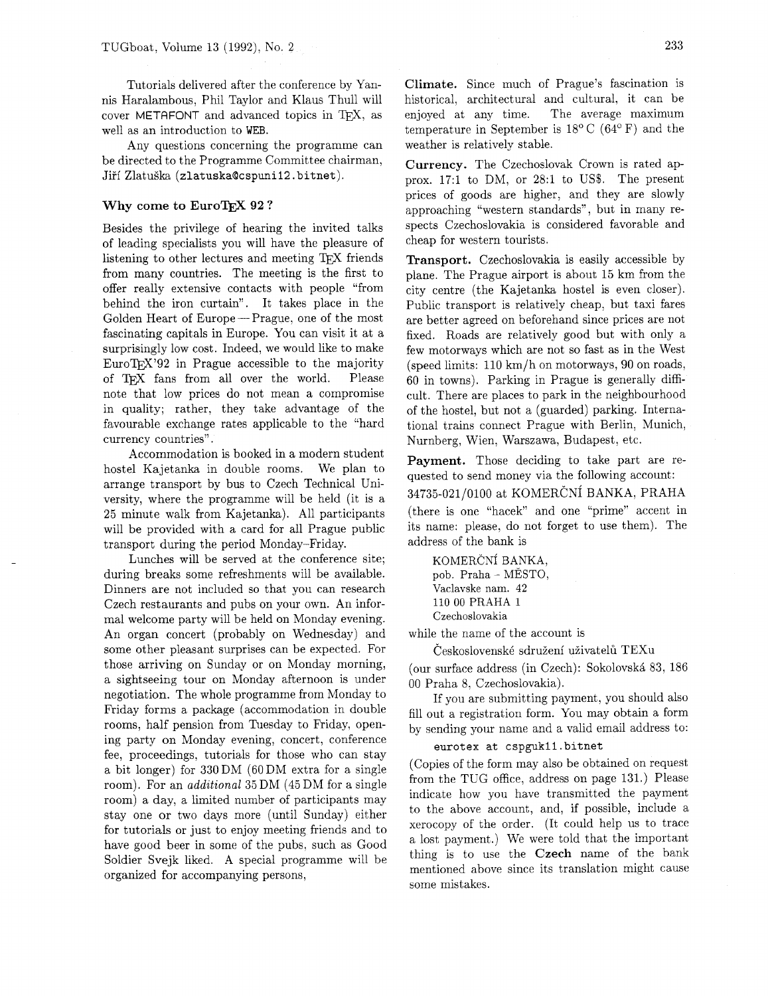Tutorials delivered after the conference by Yannis Haralambous, Phil Taylor and Klaus Thull will cover METAFONT and advanced topics in T<sub>F</sub>X, as well as an introduction to WEB.

Any questions concerning the programme can be directed to the Programme Committee chairman, Jifi ZlatuSka (zlatuska0cspunii2. bitnet).

#### Why come to EuroT<sub>F</sub>X 92?

Besides the privilege of hearing the invited talks of leading specialists you will have the pleasure of listening to other lectures and meeting TFX friends from many countries. The meeting is the first to offer really extensive contacts with people "from behind the iron curtain". It takes place in the Golden Heart of Europe – Prague, one of the most fascinating capitals in Europe. You can visit it at a surprisingly low cost. Indeed, we would like to make  $EuroTrX'92$  in Prague accessible to the majority of TEX fans from all over the world. Please note that low prices do not mean a compromise in quality; rather. they take advantage of the favourable exchange rates applicable to the "hard currency countries".

Accommodation is booked in a modern student hostel Kajetanka in double rooms. We plan to arrange transport by bus to Czech Technical University, where the programme will be held (it is a 25 minute walk from Kajetanka). All participants will be provided with a card for all Prague public transport during the period Monday-Friday.

Lunches will be served at the conference site; during breaks some refreshments will be available. Dinners are not included so that you can research Czech restaurants and pubs on your own. An informal welcome party will be held on Monday evening. An organ concert (probably on Wednesday) and some other pleasant surprises can be expected. For those arriving on Sunday or on Monday morning, a sightseeing tour on Monday afternoon is under negotiation. The whole programme from Monday to Friday forms a package (accommodation in double rooms, half pension from Tuesday to Friday, opening party on Monday evening, concert, conference fee, proceedings, tutorials for those who can stay a bit longer) for 330 DM (60 DM extra for a single room). For an *additional* 35 DM (45 DM for a single room) a day, a limited number of participants may stay one or two days more (until Sunday) either for tutorials or just to enjoy meeting friends and to have good beer in some of the pubs, such as Good Soldier Svejk liked. A special programme will be organized for accompanying persons,

Climate. Since much of Prague's fascination is historical, architectural and cultural, it can be enjoyed at any time. The average maximum temperature in September is  $18^{\circ}$  C (64<sup>o</sup> F) and the weather is relatively stable.

Currency. The Czechoslovak Crown is rated approx. 17:l to DM, or 28:l to US\$. The present prices of goods are higher, and they are slowly approaching "western standards", but in many respects Czechoslovakia is considered favorable and cheap for western tourists.

Transport. Czechoslovakia is easily accessible by plane. The Prague airport is about 15 km from the city centre (the Kajetanka hostel is even closer). Public transport is relatively cheap, but taxi fares are better agreed on beforehand since prices are not fixed. Roads are relatively good but with only a few motorways which are not so fast as in the West (speed limits: 110 km/h on motorways, 90 on roads, 60 in towns). Parking in Prague is generally difficult. There are places to park in the neighbourhood of the hostel, but not a (guarded) parking. International trains connect Prague with Berlin, Munich, Nurnberg, Wien, Warszawa, Budapest, etc.

Payment. Those deciding to take part are requested to send money via the following account:

### 34735-021/0100 at KOMERČNÍ BANKA, PRAHA

(there is one "hacek" and one "prime" accent in its name: please, do not forget to use them). The address of the bank is

KOMERČNÍ BANKA, pob. Praha - MESTO, Vaclavske nam. 42 110 00 PRAHA 1 Czechoslovakia

while the name of the account is

Československé sdružení uživatelů TEXu

(our surface address (in Czech): SokolovskA 83, 186 00 Praha 8, Czechoslovakia).

If you are submitting payment, you should also fill out a registration form. You may obtain a form by sending your name and a valid email address to:

#### eurotex at cspguk1l.bitnet

(Copies of the form may also be obtained on request from the TUG office, address on page 131.) Please indicate how you have transmitted the payment to the above account, and, if possible, include a xerocopy of the order. (It could help us to trace a lost payment.) We were told that the important thing is to use the **Czech** name of the bank mentioned above since its translation might cause some mistakes.